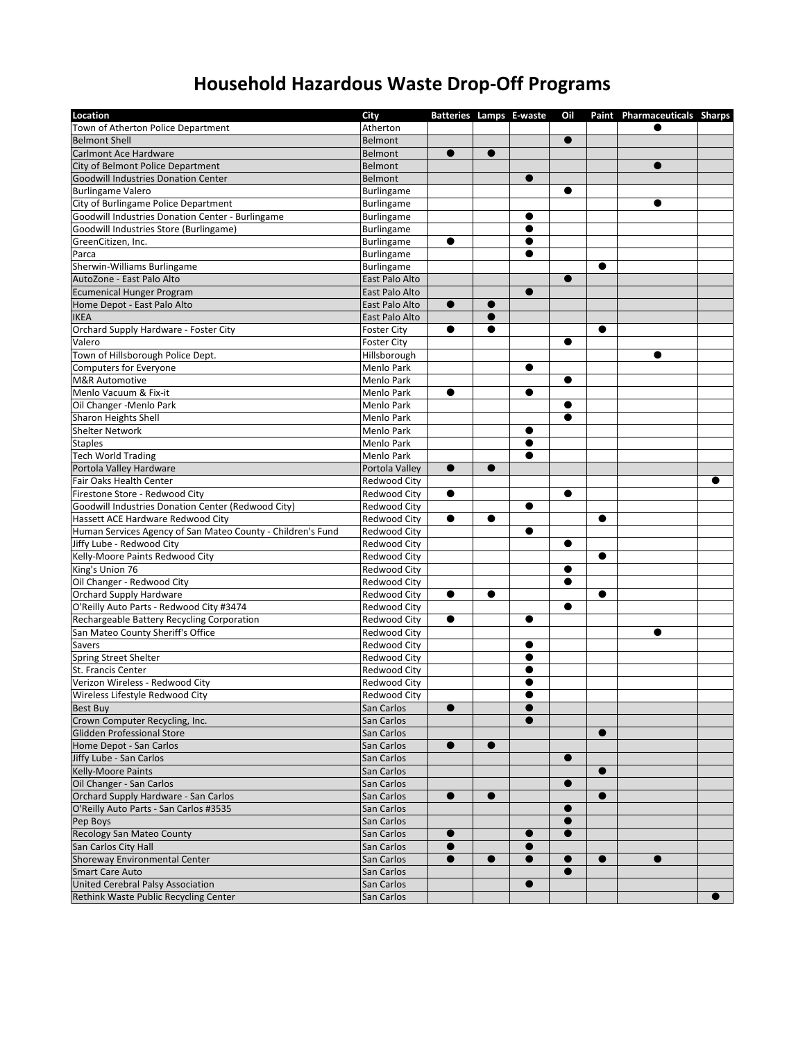## **Household Hazardous Waste Drop‐Off Programs**

| Location                                                    | City                | Batteries Lamps E-waste |            |           | Oil       |           | Paint Pharmaceuticals Sharps |  |
|-------------------------------------------------------------|---------------------|-------------------------|------------|-----------|-----------|-----------|------------------------------|--|
| Town of Atherton Police Department                          | Atherton            |                         |            |           |           |           |                              |  |
| <b>Belmont Shell</b>                                        | Belmont             |                         |            |           | $\bullet$ |           |                              |  |
| <b>Carlmont Ace Hardware</b>                                | Belmont             |                         | e          |           |           |           |                              |  |
| City of Belmont Police Department                           | Belmont             |                         |            |           |           |           |                              |  |
| Goodwill Industries Donation Center                         | Belmont             |                         |            |           |           |           |                              |  |
| <b>Burlingame Valero</b>                                    | Burlingame          |                         |            |           | e         |           |                              |  |
| City of Burlingame Police Department                        | <b>Burlingame</b>   |                         |            |           |           |           |                              |  |
| Goodwill Industries Donation Center - Burlingame            | <b>Burlingame</b>   |                         |            |           |           |           |                              |  |
| Goodwill Industries Store (Burlingame)                      | <b>Burlingame</b>   |                         |            | $\bullet$ |           |           |                              |  |
| GreenCitizen. Inc.                                          | Burlingame          | 0                       |            | 0         |           |           |                              |  |
| Parca                                                       | Burlingame          |                         |            |           |           |           |                              |  |
| Sherwin-Williams Burlingame                                 | <b>Burlingame</b>   |                         |            |           |           | $\bullet$ |                              |  |
| AutoZone - East Palo Alto                                   | East Palo Alto      |                         |            |           |           |           |                              |  |
| <b>Ecumenical Hunger Program</b>                            | East Palo Alto      |                         |            | $\bullet$ |           |           |                              |  |
| Home Depot - East Palo Alto                                 | East Palo Alto      |                         | $\epsilon$ |           |           |           |                              |  |
| <b>IKEA</b>                                                 | East Palo Alto      |                         |            |           |           |           |                              |  |
| Orchard Supply Hardware - Foster City                       | <b>Foster City</b>  |                         |            |           |           |           |                              |  |
| Valero                                                      | <b>Foster City</b>  |                         |            |           |           |           |                              |  |
| Town of Hillsborough Police Dept.                           | Hillsborough        |                         |            |           |           |           | $\bullet$                    |  |
| <b>Computers for Everyone</b>                               | <b>Menlo Park</b>   |                         |            |           |           |           |                              |  |
| <b>M&amp;R Automotive</b>                                   | <b>Menlo Park</b>   |                         |            |           | $\bullet$ |           |                              |  |
| Menlo Vacuum & Fix-it                                       | <b>Menlo Park</b>   |                         |            | $\bullet$ |           |           |                              |  |
| Oil Changer - Menlo Park                                    | <b>Menlo Park</b>   |                         |            |           |           |           |                              |  |
| <b>Sharon Heights Shell</b>                                 | <b>Menlo Park</b>   |                         |            |           | $\bullet$ |           |                              |  |
| <b>Shelter Network</b>                                      | <b>Menlo Park</b>   |                         |            |           |           |           |                              |  |
| <b>Staples</b>                                              | <b>Menlo Park</b>   |                         |            |           |           |           |                              |  |
| <b>Tech World Trading</b>                                   | Menlo Park          |                         |            | $\bullet$ |           |           |                              |  |
| Portola Valley Hardware                                     | Portola Valley      |                         | $\bullet$  |           |           |           |                              |  |
| Fair Oaks Health Center                                     | Redwood City        |                         |            |           |           |           |                              |  |
| Firestone Store - Redwood City                              | Redwood City        | $\bullet$               |            |           | e         |           |                              |  |
| Goodwill Industries Donation Center (Redwood City)          | Redwood City        |                         |            |           |           |           |                              |  |
| Hassett ACE Hardware Redwood City                           | Redwood City        |                         | $\bullet$  |           |           | $\bullet$ |                              |  |
| Human Services Agency of San Mateo County - Children's Fund | <b>Redwood City</b> |                         |            |           |           |           |                              |  |
| Jiffy Lube - Redwood City                                   | Redwood City        |                         |            |           | $\bullet$ |           |                              |  |
| Kelly-Moore Paints Redwood City                             | Redwood City        |                         |            |           |           | ●         |                              |  |
| King's Union 76                                             | Redwood City        |                         |            |           | e         |           |                              |  |
| Oil Changer - Redwood City                                  | Redwood City        |                         |            |           |           |           |                              |  |
| <b>Orchard Supply Hardware</b>                              | Redwood City        | $\bullet$               | $\bullet$  |           |           | $\bullet$ |                              |  |
| O'Reilly Auto Parts - Redwood City #3474                    | Redwood City        |                         |            |           | $\bullet$ |           |                              |  |
| Rechargeable Battery Recycling Corporation                  | Redwood City        | $\bullet$               |            |           |           |           |                              |  |
| San Mateo County Sheriff's Office                           | Redwood City        |                         |            |           |           |           |                              |  |
| <b>Savers</b>                                               | Redwood City        |                         |            |           |           |           |                              |  |
| Spring Street Shelter                                       | Redwood City        |                         |            |           |           |           |                              |  |
| St. Francis Center                                          | Redwood City        |                         |            | ●         |           |           |                              |  |
| Verizon Wireless - Redwood City                             | Redwood City        |                         |            | ●         |           |           |                              |  |
| Wireless Lifestyle Redwood City                             | Redwood City        |                         |            |           |           |           |                              |  |
| <b>Best Buy</b>                                             | San Carlos          | $\bullet$               |            |           |           |           |                              |  |
| Crown Computer Recycling, Inc.                              | San Carlos          |                         |            |           |           |           |                              |  |
| Glidden Professional Store                                  | San Carlos          |                         |            |           |           | $\bullet$ |                              |  |
| Home Depot - San Carlos                                     | San Carlos          |                         | $\epsilon$ |           |           |           |                              |  |
| Jiffy Lube - San Carlos                                     | San Carlos          |                         |            |           | $\bullet$ |           |                              |  |
| <b>Kelly-Moore Paints</b>                                   | San Carlos          |                         |            |           |           | $\bullet$ |                              |  |
| Oil Changer - San Carlos                                    | San Carlos          |                         |            |           |           |           |                              |  |
| Orchard Supply Hardware - San Carlos                        | San Carlos          | $\bullet$               | $\bullet$  |           |           | $\bullet$ |                              |  |
| O'Reilly Auto Parts - San Carlos #3535                      | San Carlos          |                         |            |           | Œ         |           |                              |  |
| Pep Boys                                                    | San Carlos          |                         |            |           |           |           |                              |  |
| <b>Recology San Mateo County</b>                            | San Carlos          |                         |            |           | ●         |           |                              |  |
| San Carlos City Hall                                        | San Carlos          |                         |            |           |           |           |                              |  |
| Shoreway Environmental Center                               | San Carlos          | $\bullet$               | $\bullet$  | $\bullet$ | $\bullet$ | $\bullet$ | $\bullet$                    |  |
| <b>Smart Care Auto</b>                                      | San Carlos          |                         |            |           | 0         |           |                              |  |
| United Cerebral Palsy Association                           | San Carlos          |                         |            |           |           |           |                              |  |
| Rethink Waste Public Recycling Center                       | San Carlos          |                         |            |           |           |           |                              |  |